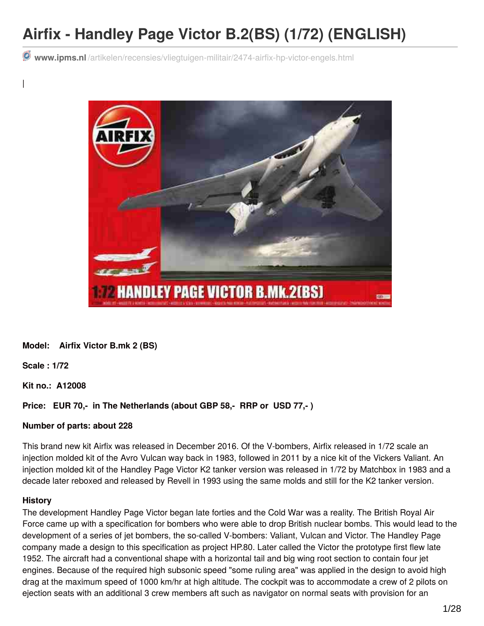# **Airfix - Handley Page Victor B.2(BS) (1/72) (ENGLISH)**

**www.ipms.nl** [/artikelen/recensies/vliegtuigen-militair/2474-airfix-hp-victor-engels.html](http://www.ipms.nl/artikelen/recensies/vliegtuigen-militair/2474-airfix-hp-victor-engels.html)



**Model: Airfix Victor B.mk 2 (BS)**

**Scale : 1/72**

|

**Kit no.: A12008**

## **Price: EUR 70,- in The Netherlands (about GBP 58,- RRP or USD 77,- )**

## **Number of parts: about 228**

This brand new kit Airfix was released in December 2016. Of the V-bombers, Airfix released in 1/72 scale an injection molded kit of the Avro Vulcan way back in 1983, followed in 2011 by a nice kit of the Vickers Valiant. An injection molded kit of the Handley Page Victor K2 tanker version was released in 1/72 by Matchbox in 1983 and a decade later reboxed and released by Revell in 1993 using the same molds and still for the K2 tanker version.

## **History**

The development Handley Page Victor began late forties and the Cold War was a reality. The British Royal Air Force came up with a specification for bombers who were able to drop British nuclear bombs. This would lead to the development of a series of jet bombers, the so-called V-bombers: Valiant, Vulcan and Victor. The Handley Page company made a design to this specification as project HP.80. Later called the Victor the prototype first flew late 1952. The aircraft had a conventional shape with a horizontal tail and big wing root section to contain four jet engines. Because of the required high subsonic speed "some ruling area" was applied in the design to avoid high drag at the maximum speed of 1000 km/hr at high altitude. The cockpit was to accommodate a crew of 2 pilots on ejection seats with an additional 3 crew members aft such as navigator on normal seats with provision for an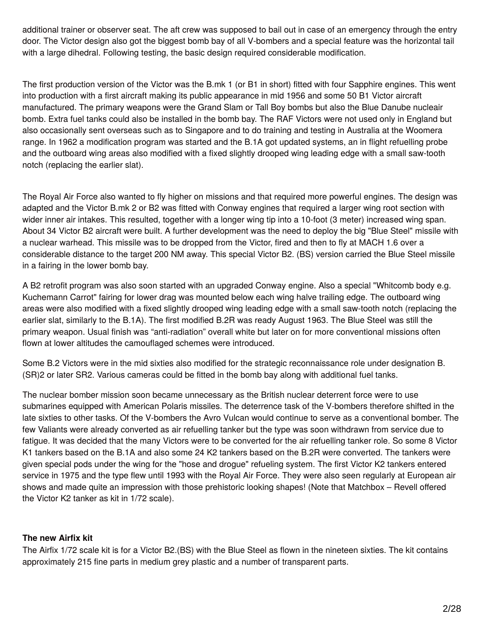additional trainer or observer seat. The aft crew was supposed to bail out in case of an emergency through the entry door. The Victor design also got the biggest bomb bay of all V-bombers and a special feature was the horizontal tail with a large dihedral. Following testing, the basic design required considerable modification.

The first production version of the Victor was the B.mk 1 (or B1 in short) fitted with four Sapphire engines. This went into production with a first aircraft making its public appearance in mid 1956 and some 50 B1 Victor aircraft manufactured. The primary weapons were the Grand Slam or Tall Boy bombs but also the Blue Danube nucleair bomb. Extra fuel tanks could also be installed in the bomb bay. The RAF Victors were not used only in England but also occasionally sent overseas such as to Singapore and to do training and testing in Australia at the Woomera range. In 1962 a modification program was started and the B.1A got updated systems, an in flight refuelling probe and the outboard wing areas also modified with a fixed slightly drooped wing leading edge with a small saw-tooth notch (replacing the earlier slat).

The Royal Air Force also wanted to fly higher on missions and that required more powerful engines. The design was adapted and the Victor B.mk 2 or B2 was fitted with Conway engines that required a larger wing root section with wider inner air intakes. This resulted, together with a longer wing tip into a 10-foot (3 meter) increased wing span. About 34 Victor B2 aircraft were built. A further development was the need to deploy the big "Blue Steel" missile with a nuclear warhead. This missile was to be dropped from the Victor, fired and then to fly at MACH 1.6 over a considerable distance to the target 200 NM away. This special Victor B2. (BS) version carried the Blue Steel missile in a fairing in the lower bomb bay.

A B2 retrofit program was also soon started with an upgraded Conway engine. Also a special "Whitcomb body e.g. Kuchemann Carrot" fairing for lower drag was mounted below each wing halve trailing edge. The outboard wing areas were also modified with a fixed slightly drooped wing leading edge with a small saw-tooth notch (replacing the earlier slat, similarly to the B.1A). The first modified B.2R was ready August 1963. The Blue Steel was still the primary weapon. Usual finish was "anti-radiation" overall white but later on for more conventional missions often flown at lower altitudes the camouflaged schemes were introduced.

Some B.2 Victors were in the mid sixties also modified for the strategic reconnaissance role under designation B. (SR)2 or later SR2. Various cameras could be fitted in the bomb bay along with additional fuel tanks.

The nuclear bomber mission soon became unnecessary as the British nuclear deterrent force were to use submarines equipped with American Polaris missiles. The deterrence task of the V-bombers therefore shifted in the late sixties to other tasks. Of the V-bombers the Avro Vulcan would continue to serve as a conventional bomber. The few Valiants were already converted as air refuelling tanker but the type was soon withdrawn from service due to fatigue. It was decided that the many Victors were to be converted for the air refuelling tanker role. So some 8 Victor K1 tankers based on the B.1A and also some 24 K2 tankers based on the B.2R were converted. The tankers were given special pods under the wing for the "hose and drogue" refueling system. The first Victor K2 tankers entered service in 1975 and the type flew until 1993 with the Royal Air Force. They were also seen regularly at European air shows and made quite an impression with those prehistoric looking shapes! (Note that Matchbox – Revell offered the Victor K2 tanker as kit in 1/72 scale).

## **The new Airfix kit**

The Airfix 1/72 scale kit is for a Victor B2.(BS) with the Blue Steel as flown in the nineteen sixties. The kit contains approximately 215 fine parts in medium grey plastic and a number of transparent parts.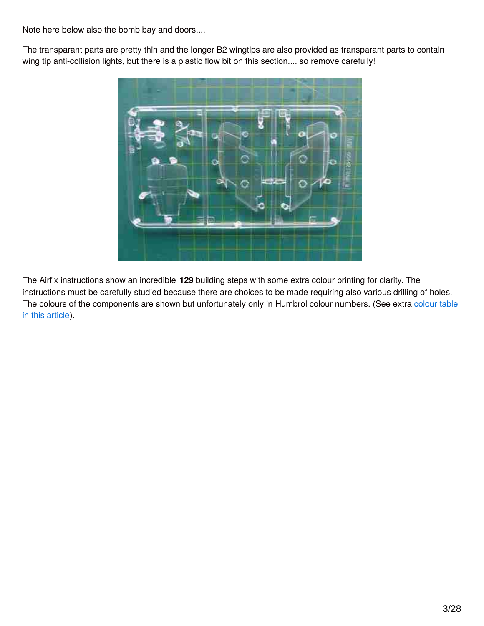Note here below also the bomb bay and doors....

The transparant parts are pretty thin and the longer B2 wingtips are also provided as transparant parts to contain wing tip anti-collision lights, but there is a plastic flow bit on this section.... so remove carefully!



The Airfix instructions show an incredible **129** building steps with some extra colour printing for clarity. The instructions must be carefully studied because there are choices to be made requiring also various drilling of holes. The colours of the components are shown but [unfortunately](http://www.ipms.nl/artikelen/recensies/vliegtuigen-militair/2474-airfix-hp-victor-engels.html#colours) only in Humbrol colour numbers. (See extra colour table in this article).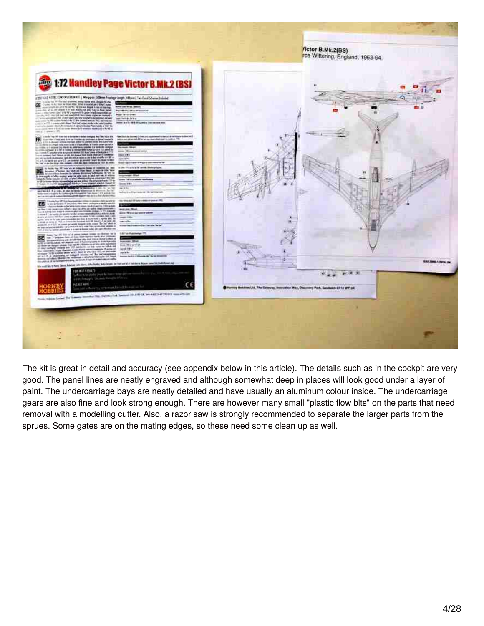

The kit is great in detail and accuracy (see appendix below in this article). The details such as in the cockpit are very good. The panel lines are neatly engraved and although somewhat deep in places will look good under a layer of paint. The undercarriage bays are neatly detailed and have usually an aluminum colour inside. The undercarriage gears are also fine and look strong enough. There are however many small "plastic flow bits" on the parts that need removal with a modelling cutter. Also, a razor saw is strongly recommended to separate the larger parts from the sprues. Some gates are on the mating edges, so these need some clean up as well.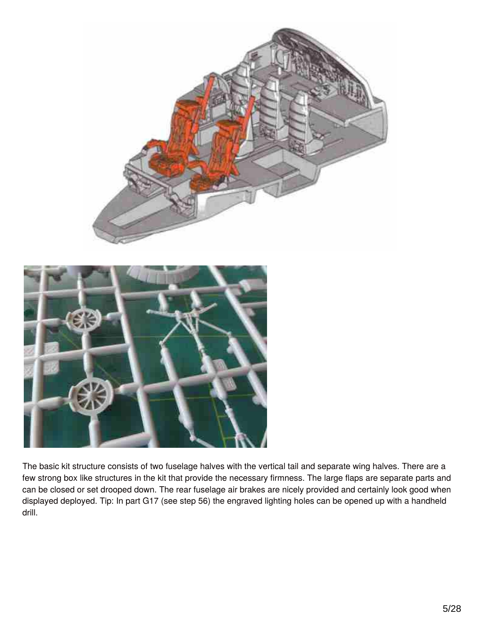



The basic kit structure consists of two fuselage halves with the vertical tail and separate wing halves. There are a few strong box like structures in the kit that provide the necessary firmness. The large flaps are separate parts and can be closed or set drooped down. The rear fuselage air brakes are nicely provided and certainly look good when displayed deployed. Tip: In part G17 (see step 56) the engraved lighting holes can be opened up with a handheld drill.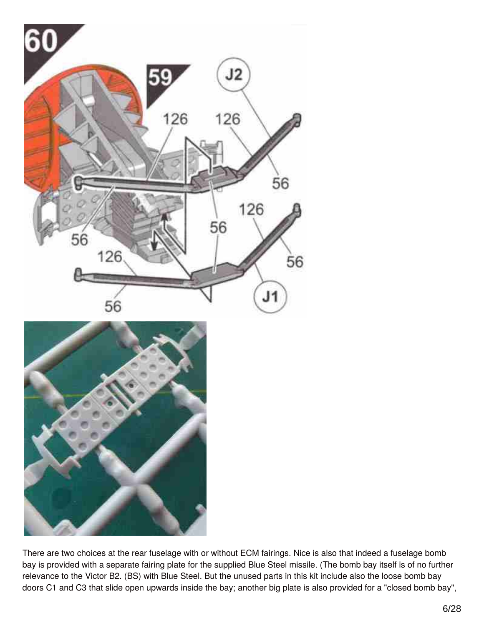



There are two choices at the rear fuselage with or without ECM fairings. Nice is also that indeed a fuselage bomb bay is provided with a separate fairing plate for the supplied Blue Steel missile. (The bomb bay itself is of no further relevance to the Victor B2. (BS) with Blue Steel. But the unused parts in this kit include also the loose bomb bay doors C1 and C3 that slide open upwards inside the bay; another big plate is also provided for a "closed bomb bay",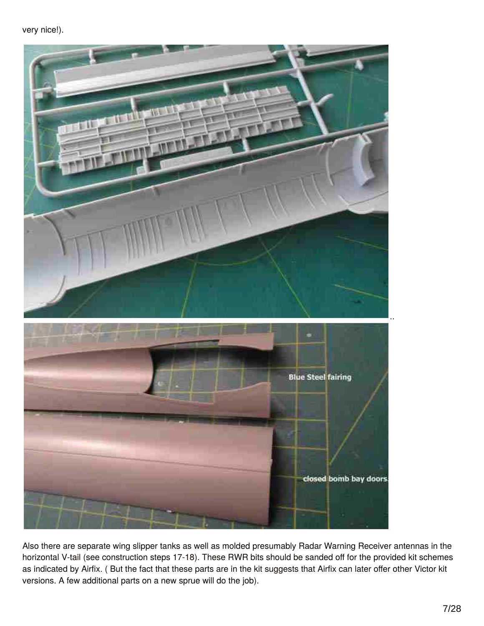very nice!).



Also there are separate wing slipper tanks as well as molded presumably Radar Warning Receiver antennas in the horizontal V-tail (see construction steps 17-18). These RWR bits should be sanded off for the provided kit schemes as indicated by Airfix. ( But the fact that these parts are in the kit suggests that Airfix can later offer other Victor kit versions. A few additional parts on a new sprue will do the job).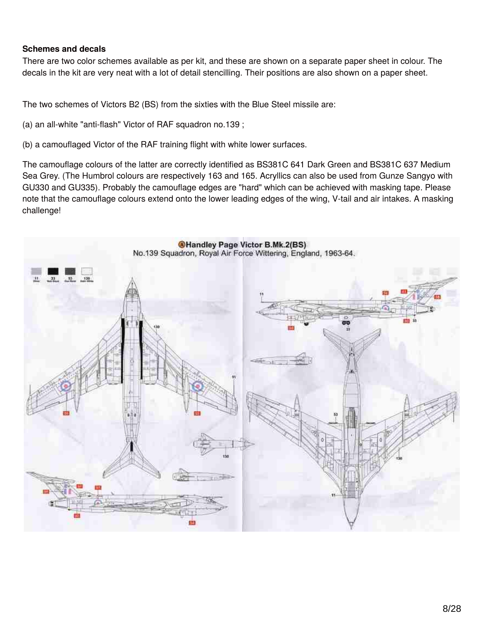## **Schemes and decals**

There are two color schemes available as per kit, and these are shown on a separate paper sheet in colour. The decals in the kit are very neat with a lot of detail stencilling. Their positions are also shown on a paper sheet.

The two schemes of Victors B2 (BS) from the sixties with the Blue Steel missile are:

- (a) an all-white "anti-flash" Victor of RAF squadron no.139 ;
- (b) a camouflaged Victor of the RAF training flight with white lower surfaces.

The camouflage colours of the latter are correctly identified as BS381C 641 Dark Green and BS381C 637 Medium Sea Grey. (The Humbrol colours are respectively 163 and 165. Acryllics can also be used from Gunze Sangyo with GU330 and GU335). Probably the camouflage edges are "hard" which can be achieved with masking tape. Please note that the camouflage colours extend onto the lower leading edges of the wing, V-tail and air intakes. A masking challenge!

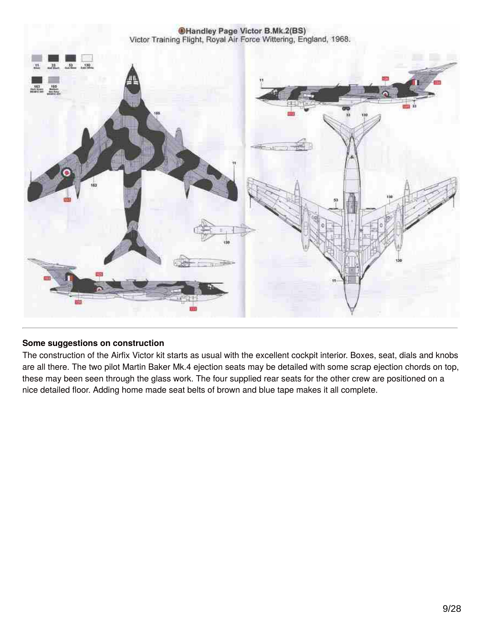

#### **Some suggestions on construction**

The construction of the Airfix Victor kit starts as usual with the excellent cockpit interior. Boxes, seat, dials and knobs are all there. The two pilot Martin Baker Mk.4 ejection seats may be detailed with some scrap ejection chords on top, these may been seen through the glass work. The four supplied rear seats for the other crew are positioned on a nice detailed floor. Adding home made seat belts of brown and blue tape makes it all complete.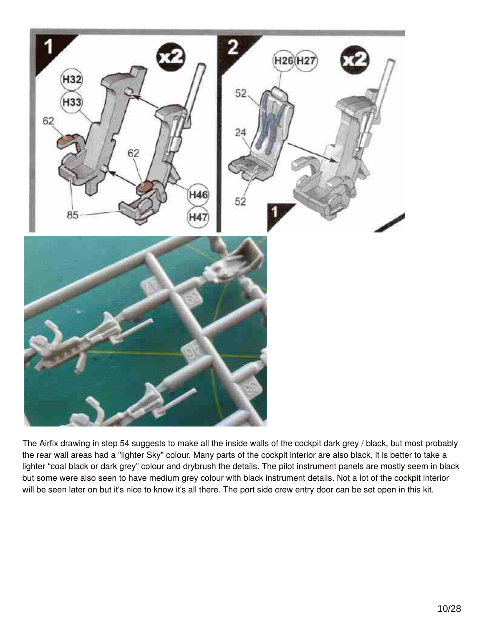

The Airfix drawing in step 54 suggests to make all the inside walls of the cockpit dark grey / black, but most probably the rear wall areas had a "lighter Sky" colour. Many parts of the cockpit interior are also black, it is better to take a lighter "coal black or dark grey" colour and drybrush the details. The pilot instrument panels are mostly seem in black but some were also seen to have medium grey colour with black instrument details. Not a lot of the cockpit interior will be seen later on but it's nice to know it's all there. The port side crew entry door can be set open in this kit.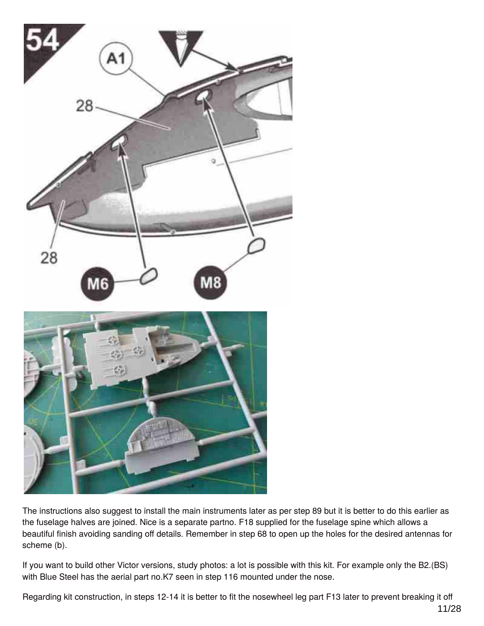

The instructions also suggest to install the main instruments later as per step 89 but it is better to do this earlier as the fuselage halves are joined. Nice is a separate partno. F18 supplied for the fuselage spine which allows a beautiful finish avoiding sanding off details. Remember in step 68 to open up the holes for the desired antennas for scheme (b).

If you want to build other Victor versions, study photos: a lot is possible with this kit. For example only the B2.(BS) with Blue Steel has the aerial part no.K7 seen in step 116 mounted under the nose.

Regarding kit construction, in steps 12-14 it is better to fit the nosewheel leg part F13 later to prevent breaking it off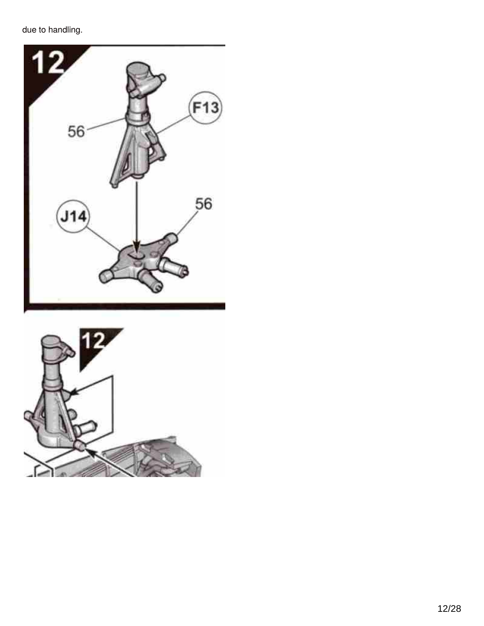due to handling.



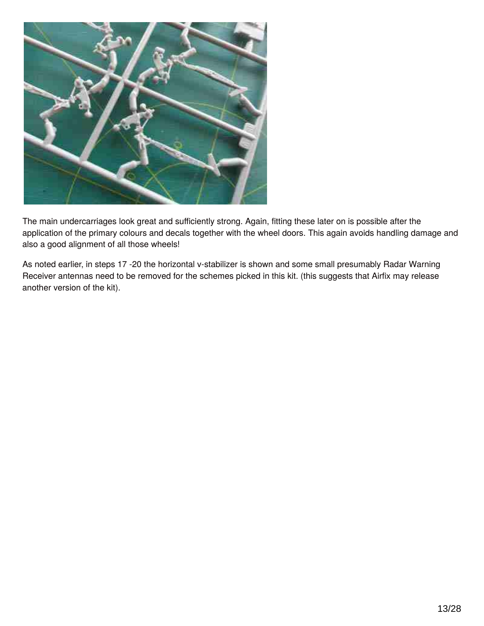

The main undercarriages look great and sufficiently strong. Again, fitting these later on is possible after the application of the primary colours and decals together with the wheel doors. This again avoids handling damage and also a good alignment of all those wheels!

As noted earlier, in steps 17 -20 the horizontal v-stabilizer is shown and some small presumably Radar Warning Receiver antennas need to be removed for the schemes picked in this kit. (this suggests that Airfix may release another version of the kit).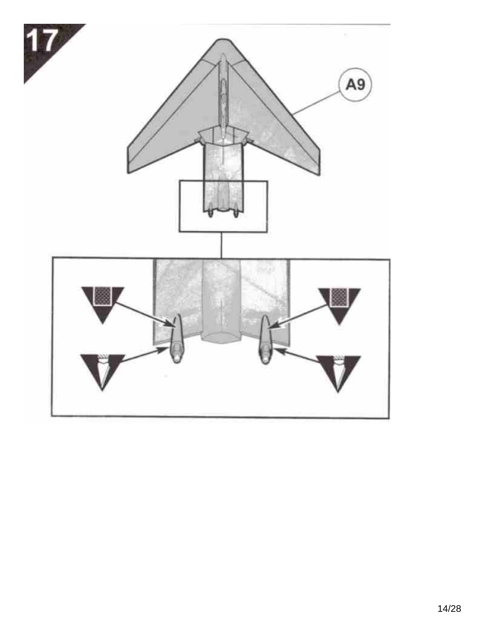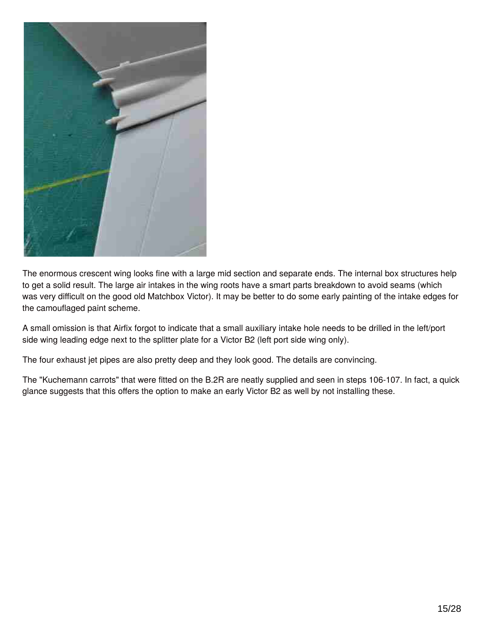

The enormous crescent wing looks fine with a large mid section and separate ends. The internal box structures help to get a solid result. The large air intakes in the wing roots have a smart parts breakdown to avoid seams (which was very difficult on the good old Matchbox Victor). It may be better to do some early painting of the intake edges for the camouflaged paint scheme.

A small omission is that Airfix forgot to indicate that a small auxiliary intake hole needs to be drilled in the left/port side wing leading edge next to the splitter plate for a Victor B2 (left port side wing only).

The four exhaust jet pipes are also pretty deep and they look good. The details are convincing.

The "Kuchemann carrots" that were fitted on the B.2R are neatly supplied and seen in steps 106-107. In fact, a quick glance suggests that this offers the option to make an early Victor B2 as well by not installing these.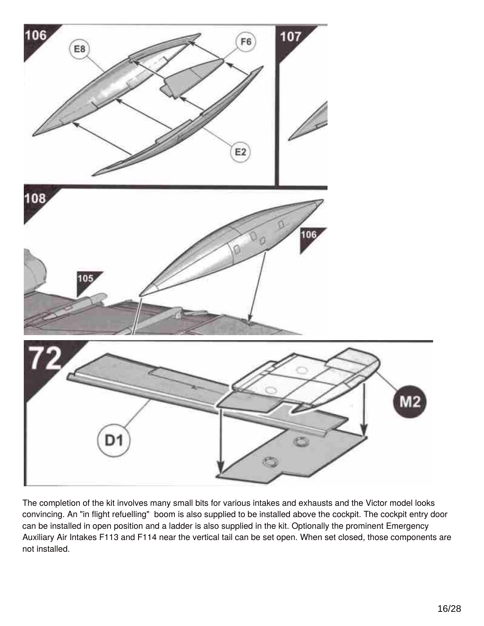

The completion of the kit involves many small bits for various intakes and exhausts and the Victor model looks convincing. An "in flight refuelling" boom is also supplied to be installed above the cockpit. The cockpit entry door can be installed in open position and a ladder is also supplied in the kit. Optionally the prominent Emergency Auxiliary Air Intakes F113 and F114 near the vertical tail can be set open. When set closed, those components are not installed.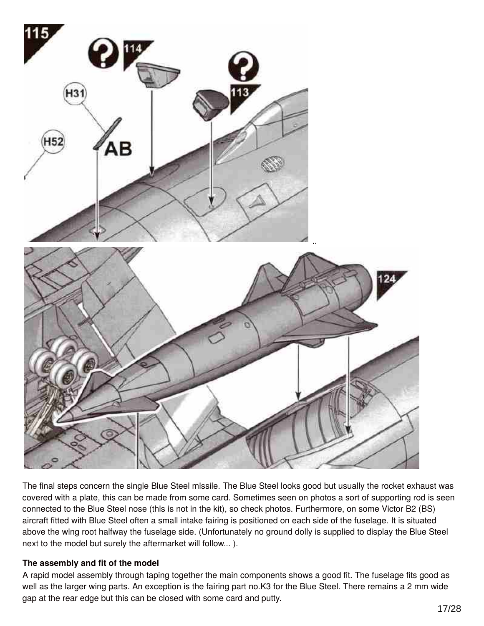

The final steps concern the single Blue Steel missile. The Blue Steel looks good but usually the rocket exhaust was covered with a plate, this can be made from some card. Sometimes seen on photos a sort of supporting rod is seen connected to the Blue Steel nose (this is not in the kit), so check photos. Furthermore, on some Victor B2 (BS) aircraft fitted with Blue Steel often a small intake fairing is positioned on each side of the fuselage. It is situated above the wing root halfway the fuselage side. (Unfortunately no ground dolly is supplied to display the Blue Steel next to the model but surely the aftermarket will follow... ).

## **The assembly and fit of the model**

A rapid model assembly through taping together the main components shows a good fit. The fuselage fits good as well as the larger wing parts. An exception is the fairing part no.K3 for the Blue Steel. There remains a 2 mm wide gap at the rear edge but this can be closed with some card and putty.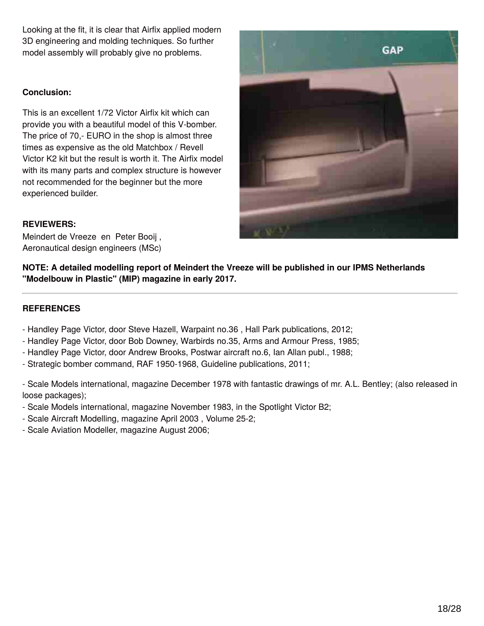Looking at the fit, it is clear that Airfix applied modern 3D engineering and molding techniques. So further model assembly will probably give no problems.

## **Conclusion:**

This is an excellent 1/72 Victor Airfix kit which can provide you with a beautiful model of this V-bomber. The price of 70,- EURO in the shop is almost three times as expensive as the old Matchbox / Revell Victor K2 kit but the result is worth it. The Airfix model with its many parts and complex structure is however not recommended for the beginner but the more experienced builder.

## **REVIEWERS:**

Meindert de Vreeze en Peter Booij , Aeronautical design engineers (MSc)

**NOTE: A detailed modelling report of Meindert the Vreeze will be published in our IPMS Netherlands "Modelbouw in Plastic" (MIP) magazine in early 2017.**

## **REFERENCES**

- Handley Page Victor, door Steve Hazell, Warpaint no.36 , Hall Park publications, 2012;
- Handley Page Victor, door Bob Downey, Warbirds no.35, Arms and Armour Press, 1985;
- Handley Page Victor, door Andrew Brooks, Postwar aircraft no.6, Ian Allan publ., 1988;
- Strategic bomber command, RAF 1950-1968, Guideline publications, 2011;
- Scale Models international, magazine December 1978 with fantastic drawings of mr. A.L. Bentley; (also released in loose packages);
- Scale Models international, magazine November 1983, in the Spotlight Victor B2;
- Scale Aircraft Modelling, magazine April 2003 , Volume 25-2;
- Scale Aviation Modeller, magazine August 2006;

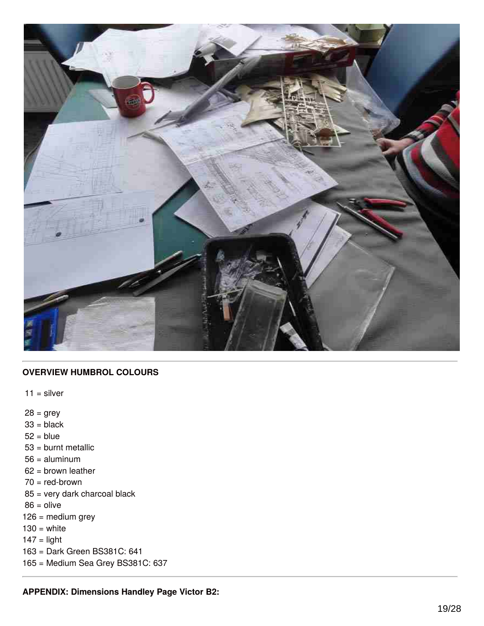

## OVERVIEW HUMBROL COLOURS

- $11 =$  silver
- $28 =$  grey
- 33 = black
- 5 2 = blu e
- 5 3 = b u r n t m e t allic
- 5 6 = alu min u m
- 62 = brown leather
- 70 = red-brown
- 85 = very dark charcoal black
- 86 = olive
- $126 = \text{medium grey}$
- $130 = \text{white}$
- $147 =$  light
- 163 = Dark Green BS381C: 641
- 165 = Medium Sea Grey BS381C: 637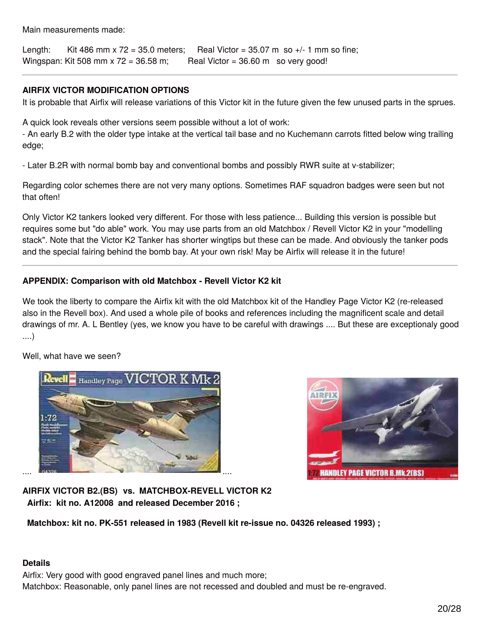Main measurements made:

Length: Kit 486 mm x 72 = 35.0 meters: Real Victor =  $35.07$  m so  $+/-1$  mm so fine: Wingspan: Kit 508 mm x 72 = 36.58 m; Real Victor = 36.60 m so very good!

## **AIRFIX VICTOR MODIFICATION OPTIONS**

It is probable that Airfix will release variations of this Victor kit in the future given the few unused parts in the sprues.

A quick look reveals other versions seem possible without a lot of work:

- An early B.2 with the older type intake at the vertical tail base and no Kuchemann carrots fitted below wing trailing edge;

- Later B.2R with normal bomb bay and conventional bombs and possibly RWR suite at v-stabilizer;

Regarding color schemes there are not very many options. Sometimes RAF squadron badges were seen but not that often!

Only Victor K2 tankers looked very different. For those with less patience... Building this version is possible but requires some but "do able" work. You may use parts from an old Matchbox / Revell Victor K2 in your "modelling stack". Note that the Victor K2 Tanker has shorter wingtips but these can be made. And obviously the tanker pods and the special fairing behind the bomb bay. At your own risk! May be Airfix will release it in the future!

## **APPENDIX: Comparison with old Matchbox - Revell Victor K2 kit**

We took the liberty to compare the Airfix kit with the old Matchbox kit of the Handley Page Victor K2 (re-released also in the Revell box). And used a whole pile of books and references including the magnificent scale and detail drawings of mr. A. L Bentley (yes, we know you have to be careful with drawings .... But these are exceptionaly good ....)

#### Well, what have we seen?





**AIRFIX VICTOR B2.(BS) vs. MATCHBOX-REVELL VICTOR K2 Airfix: kit no. A12008 and released December 2016 ;**

**Matchbox: kit no. PK-551 released in 1983 (Revell kit re-issue no. 04326 released 1993) ;**

## **Details**

Airfix: Very good with good engraved panel lines and much more; Matchbox: Reasonable, only panel lines are not recessed and doubled and must be re-engraved.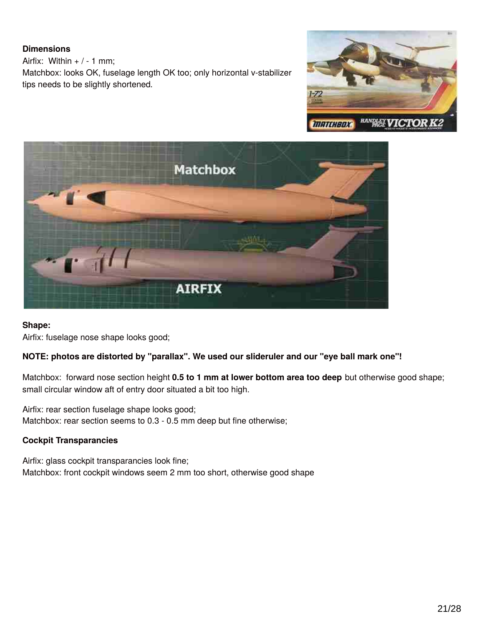## **Dimensions**

Airfix: Within  $+$  / - 1 mm; Matchbox: looks OK, fuselage length OK too; only horizontal v-stabilizer tips needs to be slightly shortened.





#### **Shape:**

Airfix: fuselage nose shape looks good;

#### **NOTE: photos are distorted by "parallax". We used our slideruler and our "eye ball mark one"!**

Matchbox: forward nose section height **0.5 to 1 mm at lower bottom area too deep** but otherwise good shape; small circular window aft of entry door situated a bit too high.

Airfix: rear section fuselage shape looks good; Matchbox: rear section seems to 0.3 - 0.5 mm deep but fine otherwise;

#### **Cockpit Transparancies**

Airfix: glass cockpit transparancies look fine; Matchbox: front cockpit windows seem 2 mm too short, otherwise good shape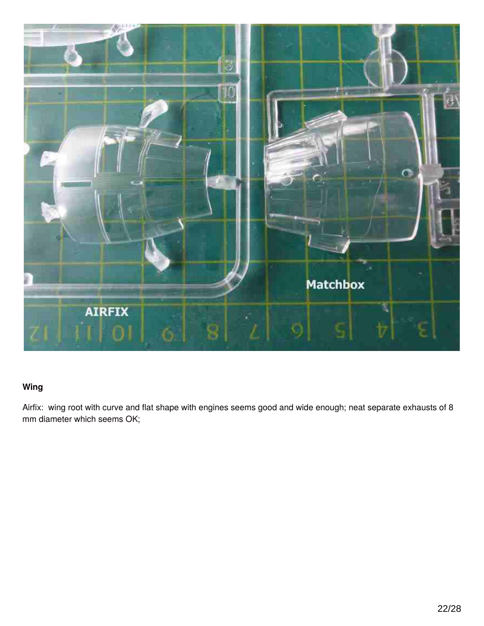

## **Wing**

Airfix: wing root with curve and flat shape with engines seems good and wide enough; neat separate exhausts of 8 mm diameter which seems OK;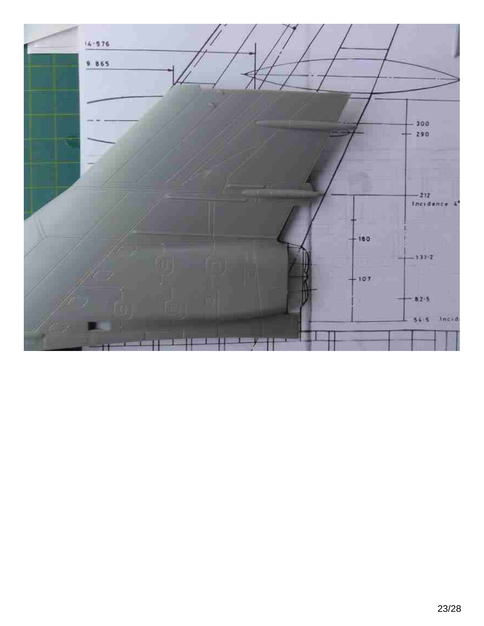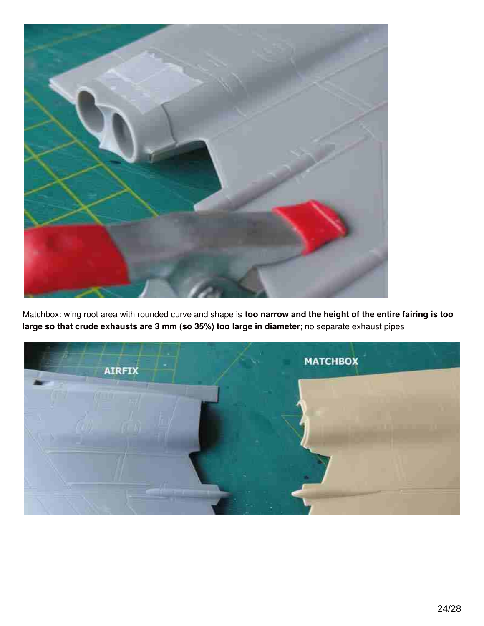

Matchbox: wing root area with rounded curve and shape is **too narrow and the height of the entire fairing is too large so that crude exhausts are 3 mm (so 35%) too large in diameter**; no separate exhaust pipes

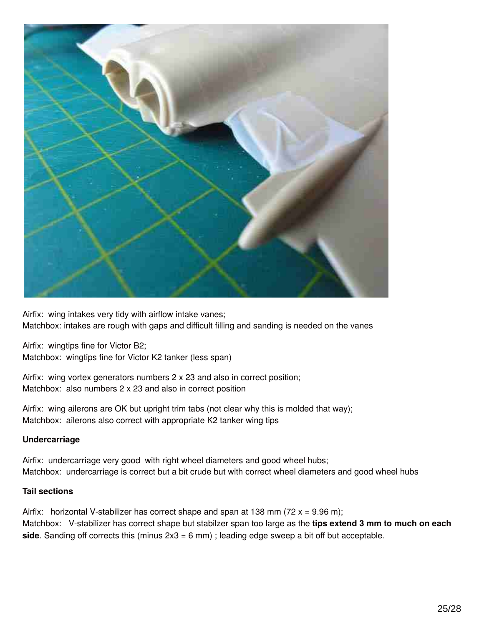

Airfix: wing intakes very tidy with airflow intake vanes; Matchbox: intakes are rough with gaps and difficult filling and sanding is needed on the vanes

Airfix: wingtips fine for Victor B2; Matchbox: wingtips fine for Victor K2 tanker (less span)

Airfix: wing vortex generators numbers 2 x 23 and also in correct position; Matchbox: also numbers 2 x 23 and also in correct position

Airfix: wing ailerons are OK but upright trim tabs (not clear why this is molded that way); Matchbox: ailerons also correct with appropriate K2 tanker wing tips

## **Undercarriage**

Airfix: undercarriage very good with right wheel diameters and good wheel hubs; Matchbox: undercarriage is correct but a bit crude but with correct wheel diameters and good wheel hubs

## **Tail sections**

Airfix: horizontal V-stabilizer has correct shape and span at 138 mm (72  $x = 9.96$  m); Matchbox: V-stabilizer has correct shape but stabilzer span too large as the **tips extend 3 mm to much on each side**. Sanding off corrects this (minus 2x3 = 6 mm) ; leading edge sweep a bit off but acceptable.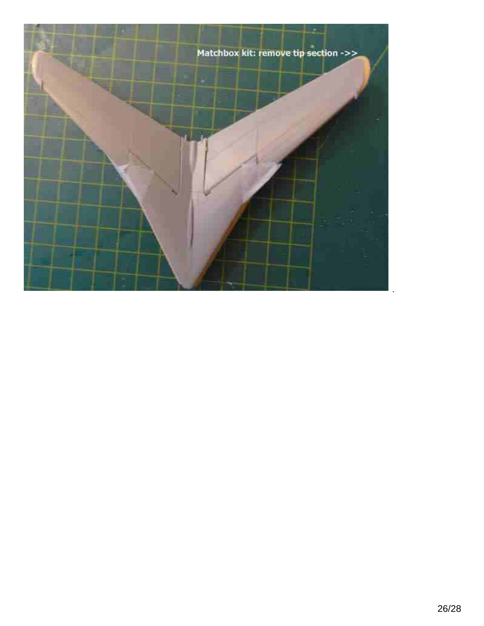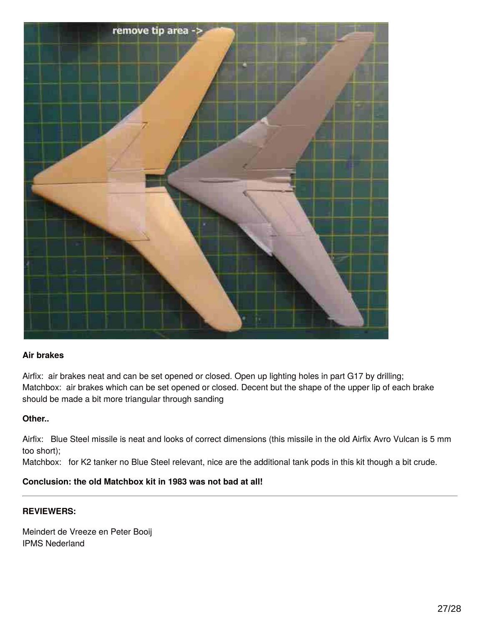

#### **Air brakes**

Airfix: air brakes neat and can be set opened or closed. Open up lighting holes in part G17 by drilling; Matchbox: air brakes which can be set opened or closed. Decent but the shape of the upper lip of each brake should be made a bit more triangular through sanding

#### **Other..**

Airfix: Blue Steel missile is neat and looks of correct dimensions (this missile in the old Airfix Avro Vulcan is 5 mm too short);

Matchbox: for K2 tanker no Blue Steel relevant, nice are the additional tank pods in this kit though a bit crude.

#### **Conclusion: the old Matchbox kit in 1983 was not bad at all!**

#### **REVIEWERS:**

Meindert de Vreeze en Peter Booij IPMS Nederland